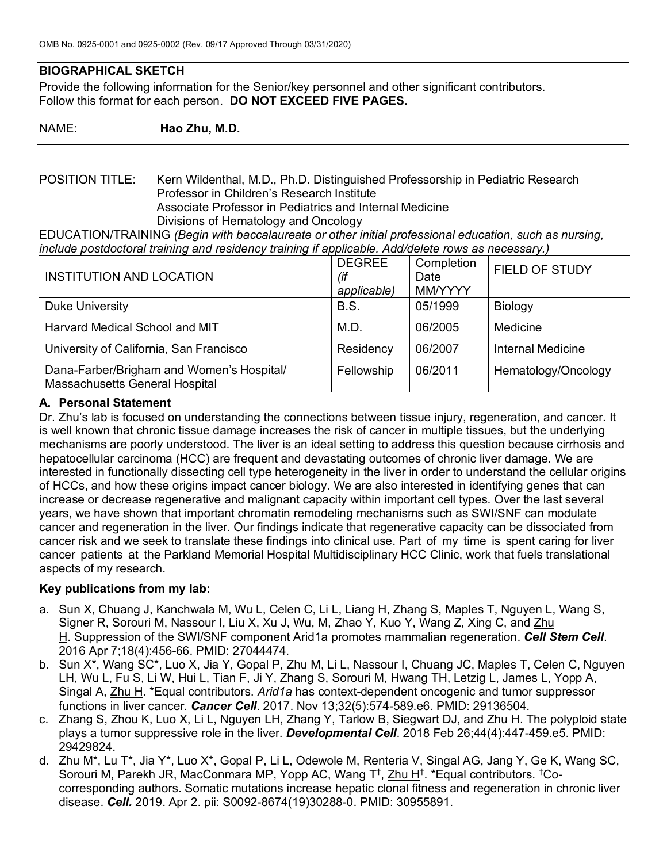# **BIOGRAPHICAL SKETCH**

Provide the following information for the Senior/key personnel and other significant contributors. Follow this format for each person. **DO NOT EXCEED FIVE PAGES.**

NAME: **Hao Zhu, M.D.**

POSITION TITLE: Kern Wildenthal, M.D., Ph.D. Distinguished Professorship in Pediatric Research Professor in Children's Research Institute Associate Professor in Pediatrics and Internal Medicine Divisions of Hematology and Oncology

EDUCATION/TRAINING *(Begin with baccalaureate or other initial professional education, such as nursing, include postdoctoral training and residency training if applicable. Add/delete rows as necessary.)*

| <b>INSTITUTION AND LOCATION</b>                                             | <b>DEGREE</b><br>(if<br>applicable) | Completion<br>Date<br>MM/YYYY | FIELD OF STUDY      |
|-----------------------------------------------------------------------------|-------------------------------------|-------------------------------|---------------------|
| Duke University                                                             | <b>B.S.</b>                         | 05/1999                       | Biology             |
| Harvard Medical School and MIT                                              | M.D.                                | 06/2005                       | Medicine            |
| University of California, San Francisco                                     | Residency                           | 06/2007                       | Internal Medicine   |
| Dana-Farber/Brigham and Women's Hospital/<br>Massachusetts General Hospital | Fellowship                          | 06/2011                       | Hematology/Oncology |

### **A. Personal Statement**

Dr. Zhu's lab is focused on understanding the connections between tissue injury, regeneration, and cancer. It is well known that chronic tissue damage increases the risk of cancer in multiple tissues, but the underlying mechanisms are poorly understood. The liver is an ideal setting to address this question because cirrhosis and hepatocellular carcinoma (HCC) are frequent and devastating outcomes of chronic liver damage. We are interested in functionally dissecting cell type heterogeneity in the liver in order to understand the cellular origins of HCCs, and how these origins impact cancer biology. We are also interested in identifying genes that can increase or decrease regenerative and malignant capacity within important cell types. Over the last several years, we have shown that important chromatin remodeling mechanisms such as SWI/SNF can modulate cancer and regeneration in the liver. Our findings indicate that regenerative capacity can be dissociated from cancer risk and we seek to translate these findings into clinical use. Part of my time is spent caring for liver cancer patients at the Parkland Memorial Hospital Multidisciplinary HCC Clinic, work that fuels translational aspects of my research.

#### **Key publications from my lab:**

- a. Sun X, Chuang J, Kanchwala M, Wu L, Celen C, Li L, Liang H, Zhang S, Maples T, Nguyen L, Wang S, Signer R, Sorouri M, Nassour I, Liu X, Xu J, Wu, M, Zhao Y, Kuo Y, Wang Z, Xing C, and Zhu H. Suppression of the SWI/SNF component Arid1a promotes mammalian regeneration. *Cell Stem Cell*. 2016 Apr 7;18(4):456-66. PMID: 27044474.
- b. Sun X\*, Wang SC\*, Luo X, Jia Y, Gopal P, Zhu M, Li L, Nassour I, Chuang JC, Maples T, Celen C, Nguyen LH, Wu L, Fu S, Li W, Hui L, Tian F, Ji Y, Zhang S, Sorouri M, Hwang TH, Letzig L, James L, Yopp A, Singal A, Zhu H. \*Equal contributors. *Arid1a* has context-dependent oncogenic and tumor suppressor functions in liver cancer*. Cancer Cell*. 2017. Nov 13;32(5):574-589.e6. PMID: 29136504.
- c. Zhang S, Zhou K, Luo X, Li L, Nguyen LH, Zhang Y, Tarlow B, Siegwart DJ, and Zhu H. The polyploid state plays a tumor suppressive role in the liver. *Developmental Cell*. 2018 Feb 26;44(4):447-459.e5. PMID: 29429824.
- d. Zhu M\*, Lu T\*, Jia Y\*, Luo X\*, Gopal P, Li L, Odewole M, Renteria V, Singal AG, Jang Y, Ge K, Wang SC, Sorouri M, Parekh JR, MacConmara MP, Yopp AC, Wang T<sup>†</sup>, Zhu H<sup>†</sup>. \*Equal contributors. <sup>†</sup>Cocorresponding authors. Somatic mutations increase hepatic clonal fitness and regeneration in chronic liver disease. *Cell.* 2019. Apr 2. pii: S0092-8674(19)30288-0. PMID: 30955891.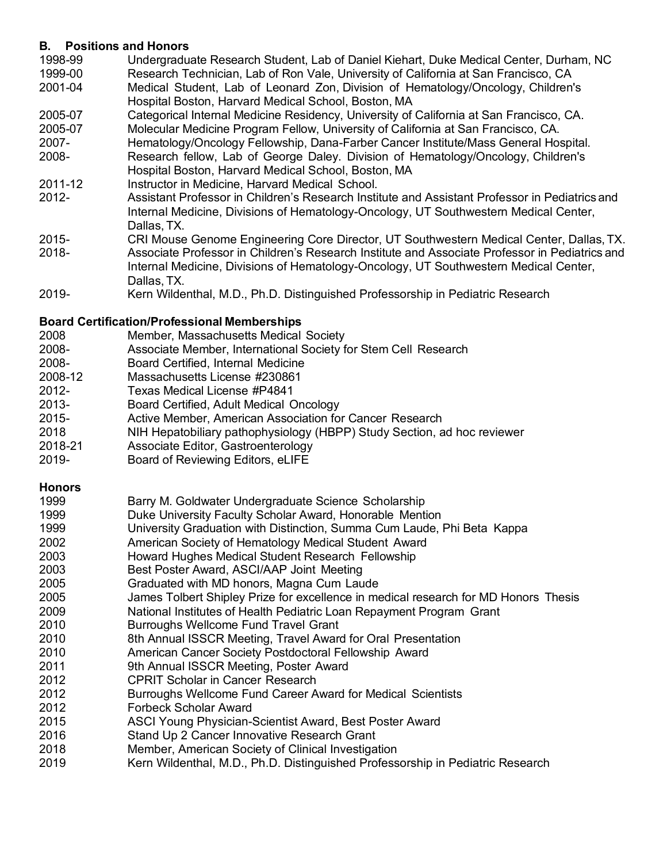## **B. Positions and Honors**

- 1998-99 Undergraduate Research Student, Lab of Daniel Kiehart, Duke Medical Center, Durham, NC 1999-00 Research Technician, Lab of Ron Vale, University of California at San Francisco, CA 2001-04 Medical Student, Lab of Leonard Zon, Division of Hematology/Oncology, Children's Hospital Boston, Harvard Medical School, Boston, MA 2005-07 Categorical Internal Medicine Residency, University of California at San Francisco, CA.
- 2005-07 Molecular Medicine Program Fellow, University of California at San Francisco, CA. 2007- Hematology/Oncology Fellowship, Dana-Farber Cancer Institute/Mass General Hospital. 2008- Research fellow, Lab of George Daley. Division of Hematology/Oncology, Children's Hospital Boston, Harvard Medical School, Boston, MA
- 2011-12 Instructor in Medicine, Harvard Medical School.
- 2012- Assistant Professor in Children's Research Institute and Assistant Professor in Pediatrics and Internal Medicine, Divisions of Hematology-Oncology, UT Southwestern Medical Center, Dallas, TX.
- 2015- CRI Mouse Genome Engineering Core Director, UT Southwestern Medical Center, Dallas, TX.
- 2018- Associate Professor in Children's Research Institute and Associate Professor in Pediatrics and Internal Medicine, Divisions of Hematology-Oncology, UT Southwestern Medical Center, Dallas, TX.
- 2019- Kern Wildenthal, M.D., Ph.D. Distinguished Professorship in Pediatric Research

### **Board Certification/Professional Memberships**

- 2008 Member, Massachusetts Medical Society
- 2008- Associate Member, International Society for Stem Cell Research
- 2008- Board Certified, Internal Medicine
- 2008-12 Massachusetts License #230861
- 2012- Texas Medical License #P4841
- 2013- Board Certified, Adult Medical Oncology
- 2015- Active Member, American Association for Cancer Research
- 2018 NIH Hepatobiliary pathophysiology (HBPP) Study Section, ad hoc reviewer
- 2018-21 Associate Editor, Gastroenterology
- 2019- Board of Reviewing Editors, eLIFE

#### **Honors**

| 1999 | Barry M. Goldwater Undergraduate Science Scholarship                                |
|------|-------------------------------------------------------------------------------------|
| 1999 | Duke University Faculty Scholar Award, Honorable Mention                            |
| 1999 | University Graduation with Distinction, Summa Cum Laude, Phi Beta Kappa             |
| 2002 | American Society of Hematology Medical Student Award                                |
| 2003 | Howard Hughes Medical Student Research Fellowship                                   |
| 2003 | Best Poster Award, ASCI/AAP Joint Meeting                                           |
| 2005 | Graduated with MD honors, Magna Cum Laude                                           |
| 2005 | James Tolbert Shipley Prize for excellence in medical research for MD Honors Thesis |
| 2009 | National Institutes of Health Pediatric Loan Repayment Program Grant                |
| 2010 | <b>Burroughs Wellcome Fund Travel Grant</b>                                         |
| 2010 | 8th Annual ISSCR Meeting, Travel Award for Oral Presentation                        |
| 2010 | American Cancer Society Postdoctoral Fellowship Award                               |
| 2011 | 9th Annual ISSCR Meeting, Poster Award                                              |
| 2012 | <b>CPRIT Scholar in Cancer Research</b>                                             |
| 2012 | Burroughs Wellcome Fund Career Award for Medical Scientists                         |
| 2012 | <b>Forbeck Scholar Award</b>                                                        |
| 2015 | ASCI Young Physician-Scientist Award, Best Poster Award                             |
| 2016 | Stand Up 2 Cancer Innovative Research Grant                                         |
| 2018 | Member, American Society of Clinical Investigation                                  |
| 2019 | Kern Wildenthal, M.D., Ph.D. Distinguished Professorship in Pediatric Research      |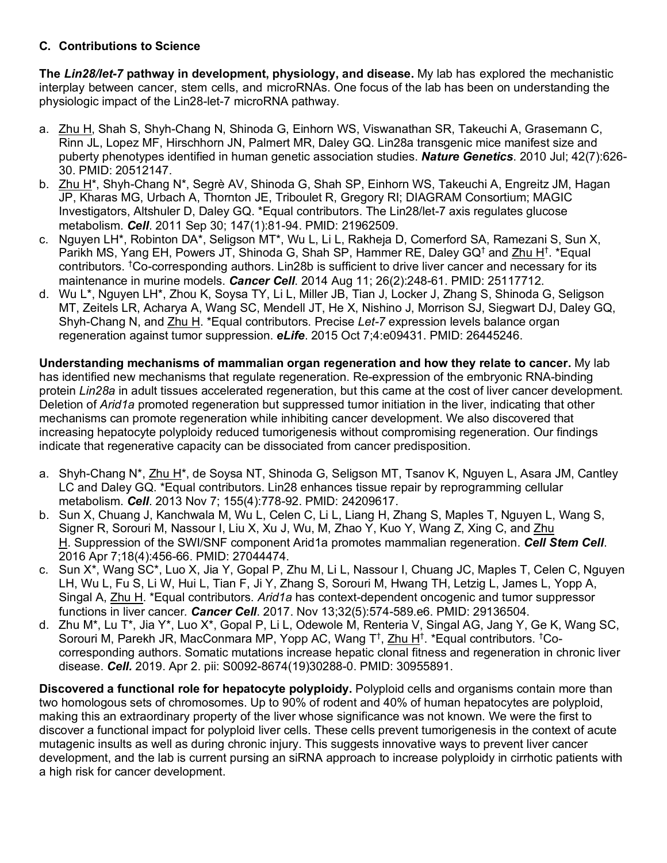# **C. Contributions to Science**

**The** *Lin28/let-7* **pathway in development, physiology, and disease.** My lab has explored the mechanistic interplay between cancer, stem cells, and microRNAs. One focus of the lab has been on understanding the physiologic impact of the Lin28-let-7 microRNA pathway.

- a. Zhu H, Shah S, Shyh-Chang N, Shinoda G, Einhorn WS, Viswanathan SR, Takeuchi A, Grasemann C, Rinn JL, Lopez MF, Hirschhorn JN, Palmert MR, Daley GQ. Lin28a transgenic mice manifest size and puberty phenotypes identified in human genetic association studies. *Nature Genetics*. 2010 Jul; 42(7):626- 30. PMID: 20512147.
- b. Zhu H\*, Shyh-Chang N\*, Segrè AV, Shinoda G, Shah SP, Einhorn WS, Takeuchi A, Engreitz JM, Hagan JP, Kharas MG, Urbach A, Thornton JE, Triboulet R, Gregory RI; DIAGRAM Consortium; MAGIC Investigators, Altshuler D, Daley GQ. \*Equal contributors. The Lin28/let-7 axis regulates glucose metabolism. *Cell*. 2011 Sep 30; 147(1):81-94. PMID: 21962509.
- c. Nguyen LH\*, Robinton DA\*, Seligson MT\*, Wu L, Li L, Rakheja D, Comerford SA, Ramezani S, Sun X, Parikh MS, Yang EH, Powers JT, Shinoda G, Shah SP, Hammer RE, Daley GQ<sup>†</sup> and Zhu H<sup>†</sup>. \*Equal contributors. <sup>†</sup>Co-corresponding authors. Lin28b is sufficient to drive liver cancer and necessary for its maintenance in murine models. *Cancer Cell*. 2014 Aug 11; 26(2):248-61. PMID: 25117712.
- d. Wu L\*, Nguyen LH\*, Zhou K, Soysa TY, Li L, Miller JB, Tian J, Locker J, Zhang S, Shinoda G, Seligson MT, Zeitels LR, Acharya A, Wang SC, Mendell JT, He X, Nishino J, Morrison SJ, Siegwart DJ, Daley GQ, Shyh-Chang N, and Zhu H. \*Equal contributors. Precise *Let-7* expression levels balance organ regeneration against tumor suppression. *eLife*. 2015 Oct 7;4:e09431. PMID: 26445246.

**Understanding mechanisms of mammalian organ regeneration and how they relate to cancer.** My lab has identified new mechanisms that regulate regeneration. Re-expression of the embryonic RNA-binding protein *Lin28a* in adult tissues accelerated regeneration, but this came at the cost of liver cancer development. Deletion of *Arid1a* promoted regeneration but suppressed tumor initiation in the liver, indicating that other mechanisms can promote regeneration while inhibiting cancer development. We also discovered that increasing hepatocyte polyploidy reduced tumorigenesis without compromising regeneration. Our findings indicate that regenerative capacity can be dissociated from cancer predisposition.

- a. Shyh-Chang N\*, Zhu H\*, de Soysa NT, Shinoda G, Seligson MT, Tsanov K, Nguyen L, Asara JM, Cantley LC and Daley GQ. \*Equal contributors. Lin28 enhances tissue repair by reprogramming cellular metabolism. *Cell*. 2013 Nov 7; 155(4):778-92. PMID: 24209617.
- b. Sun X, Chuang J, Kanchwala M, Wu L, Celen C, Li L, Liang H, Zhang S, Maples T, Nguyen L, Wang S, Signer R, Sorouri M, Nassour I, Liu X, Xu J, Wu, M, Zhao Y, Kuo Y, Wang Z, Xing C, and Zhu H. Suppression of the SWI/SNF component Arid1a promotes mammalian regeneration. *Cell Stem Cell*. 2016 Apr 7;18(4):456-66. PMID: 27044474.
- c. Sun X\*, Wang SC\*, Luo X, Jia Y, Gopal P, Zhu M, Li L, Nassour I, Chuang JC, Maples T, Celen C, Nguyen LH, Wu L, Fu S, Li W, Hui L, Tian F, Ji Y, Zhang S, Sorouri M, Hwang TH, Letzig L, James L, Yopp A, Singal A, Zhu H. \*Equal contributors. *Arid1a* has context-dependent oncogenic and tumor suppressor functions in liver cancer*. Cancer Cell*. 2017. Nov 13;32(5):574-589.e6. PMID: 29136504.
- d. Zhu M\*, Lu T\*, Jia Y\*, Luo X\*, Gopal P, Li L, Odewole M, Renteria V, Singal AG, Jang Y, Ge K, Wang SC, Sorouri M, Parekh JR, MacConmara MP, Yopp AC, Wang T<sup>†</sup>, Zhu H<sup>†</sup>. \*Equal contributors. <sup>†</sup>Cocorresponding authors. Somatic mutations increase hepatic clonal fitness and regeneration in chronic liver disease. *Cell.* 2019. Apr 2. pii: S0092-8674(19)30288-0. PMID: 30955891.

**Discovered a functional role for hepatocyte polyploidy.** Polyploid cells and organisms contain more than two homologous sets of chromosomes. Up to 90% of rodent and 40% of human hepatocytes are polyploid, making this an extraordinary property of the liver whose significance was not known. We were the first to discover a functional impact for polyploid liver cells. These cells prevent tumorigenesis in the context of acute mutagenic insults as well as during chronic injury. This suggests innovative ways to prevent liver cancer development, and the lab is current pursing an siRNA approach to increase polyploidy in cirrhotic patients with a high risk for cancer development.